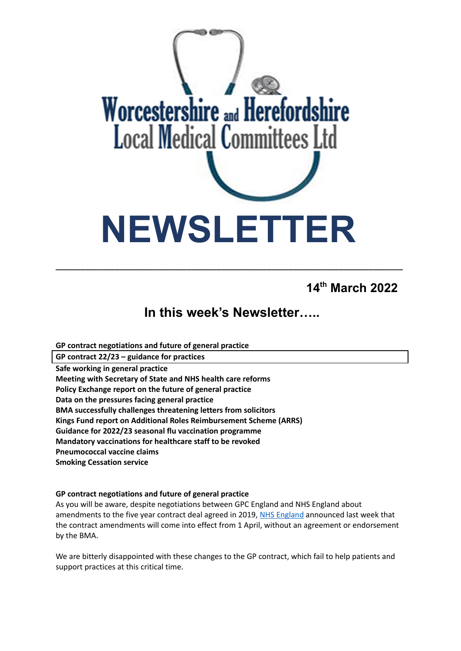

**14 th March 2022**

# **In this week's Newsletter…..**

**\_\_\_\_\_\_\_\_\_\_\_\_\_\_\_\_\_\_\_\_\_\_\_\_\_\_\_\_\_\_\_\_\_\_\_\_\_\_\_\_\_\_\_\_\_\_\_\_\_\_\_\_\_\_\_\_\_\_\_\_\_\_\_\_\_\_\_\_\_\_\_\_\_\_\_\_\_\_\_\_\_\_**

**GP contract negotiations and future of general practice**

**GP contract 22/23 – guidance for practices**

**Safe working in general practice**

**Meeting with Secretary of State and NHS health care reforms**

**Policy Exchange report on the future of general practice**

**Data on the pressures facing general practice**

**BMA successfully challenges threatening letters from solicitors**

**Kings Fund report on Additional Roles Reimbursement Scheme (ARRS)**

**Guidance for 2022/23 seasonal flu vaccination programme**

**Mandatory vaccinations for healthcare staff to be revoked**

**Pneumococcal vaccine claims**

**Smoking Cessation service**

# **GP contract negotiations and future of general practice**

As you will be aware, despite negotiations between GPC England and NHS England about amendments to the five year contract deal agreed in 2019, NHS [England](https://www.england.nhs.uk/publication/letter-general-practice-contract-arrangements-in-2022-23/) announced last week that the contract amendments will come into effect from 1 April, without an agreement or endorsement by the BMA.

We are bitterly disappointed with these changes to the GP contract, which fail to help patients and support practices at this critical time.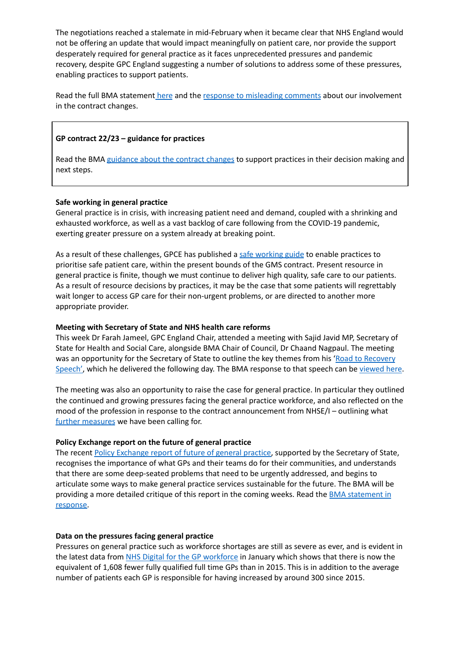The negotiations reached a stalemate in mid-February when it became clear that NHS England would not be offering an update that would impact meaningfully on patient care, nor provide the support desperately required for general practice as it faces unprecedented pressures and pandemic recovery, despite GPC England suggesting a number of solutions to address some of these pressures, enabling practices to support patients.

Read the full BMA statement [here](https://www.bma.org.uk/bma-media-centre/bma-bitterly-disappointed-at-gp-contract-changes-for-england-announced-with-no-agreement) and the response to [misleading](https://www.bma.org.uk/bma-media-centre/bma-gpc-responds-to-misleading-comments-about-its-involvement-in-the-22-23-gp-contract) comments about our involvement in the contract changes.

# **GP contract 22/23 – guidance for practices**

Read the BMA [guidance](https://www.bma.org.uk/pay-and-contracts/contracts/gp-contract/gp-contract-changes-england-202223) about the contract changes to support practices in their decision making and next steps.

## **Safe working in general practice**

General practice is in crisis, with increasing patient need and demand, coupled with a shrinking and exhausted workforce, as well as a vast backlog of care following from the COVID-19 pandemic, exerting greater pressure on a system already at breaking point.

As a result of these challenges, GPCE has published a safe [working](https://www.bma.org.uk/advice-and-support/gp-practices/managing-workload/safe-working-in-general-practice) guide to enable practices to prioritise safe patient care, within the present bounds of the GMS contract. Present resource in general practice is finite, though we must continue to deliver high quality, safe care to our patients. As a result of resource decisions by practices, it may be the case that some patients will regrettably wait longer to access GP care for their non-urgent problems, or are directed to another more appropriate provider.

#### **Meeting with Secretary of State and NHS health care reforms**

This week Dr Farah Jameel, GPC England Chair, attended a meeting with Sajid Javid MP, Secretary of State for Health and Social Care, alongside BMA Chair of Council, Dr Chaand Nagpaul. The meeting was an opportunity for the Secretary of State to outline the key themes from his 'Road to [Recovery](https://www.gov.uk/government/speeches/health-and-social-care-secretary-speech-on-health-reform) [Speech',](https://www.gov.uk/government/speeches/health-and-social-care-secretary-speech-on-health-reform) which he delivered the following day. The BMA response to that speech can be [viewed](https://www.bma.org.uk/bma-media-centre/nhs-recovery-plan-will-prove-impossible-if-chronic-workforce-crisis-isn-t-addressed-says-bma) here.

The meeting was also an opportunity to raise the case for general practice. In particular they outlined the continued and growing pressures facing the general practice workforce, and also reflected on the mood of the profession in response to the contract announcement from NHSE/I – outlining what further [measures](https://www.bma.org.uk/bma-media-centre/bma-bitterly-disappointed-at-gp-contract-changes-for-england-announced-with-no-agreement) we have been calling for.

#### **Policy Exchange report on the future of general practice**

The recent Policy [Exchange](https://policyexchange.org.uk/publication/at-your-service/) report of future of general practice, supported by the Secretary of State, recognises the importance of what GPs and their teams do for their communities, and understands that there are some deep-seated problems that need to be urgently addressed, and begins to articulate some ways to make general practice services sustainable for the future. The BMA will be providing a more detailed critique of this report in the coming weeks. Read the BMA [statement](https://www.bma.org.uk/bma-media-centre/we-can-t-begin-to-build-a-better-general-practice-if-we-don-t-learn-from-what-s-come-before-says-bma) in [response.](https://www.bma.org.uk/bma-media-centre/we-can-t-begin-to-build-a-better-general-practice-if-we-don-t-learn-from-what-s-come-before-says-bma)

#### **Data on the pressures facing general practice**

Pressures on general practice such as workforce shortages are still as severe as ever, and is evident in the latest data from NHS Digital for the GP [workforce](https://digital.nhs.uk/data-and-information/publications/statistical/general-and-personal-medical-services/31-january-2022) in January which shows that there is now the equivalent of 1,608 fewer fully qualified full time GPs than in 2015. This is in addition to the average number of patients each GP is responsible for having increased by around 300 since 2015.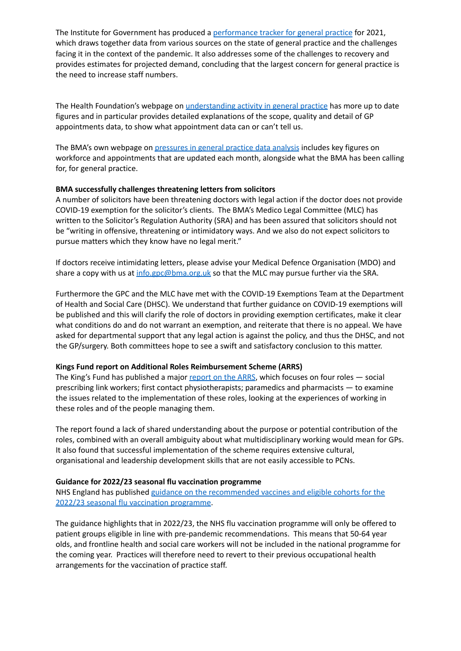The Institute for Government has produced a [performance](https://www.instituteforgovernment.org.uk/publication/performance-tracker-2021/general-practice) tracker for general practice for 2021, which draws together data from various sources on the state of general practice and the challenges facing it in the context of the pandemic. It also addresses some of the challenges to recovery and provides estimates for projected demand, concluding that the largest concern for general practice is the need to increase staff numbers.

The Health Foundation's webpage on [understanding](https://www.health.org.uk/news-and-comment/charts-and-infographics/understanding-activity-in-general-practice-what-can-the-data-tell-us) activity in general practice has more up to date figures and in particular provides detailed explanations of the scope, quality and detail of GP appointments data, to show what appointment data can or can't tell us.

The BMA's own webpage on [pressures](https://www.bma.org.uk/advice-and-support/nhs-delivery-and-workforce/pressures/pressures-in-general-practice-data-analysis) in general practice data analysis includes key figures on workforce and appointments that are updated each month, alongside what the BMA has been calling for, for general practice.

## **BMA successfully challenges threatening letters from solicitors**

A number of solicitors have been threatening doctors with legal action if the doctor does not provide COVID-19 exemption for the solicitor's clients. The BMA's Medico Legal Committee (MLC) has written to the Solicitor's Regulation Authority (SRA) and has been assured that solicitors should not be "writing in offensive, threatening or intimidatory ways. And we also do not expect solicitors to pursue matters which they know have no legal merit."

If doctors receive intimidating letters, please advise your Medical Defence Organisation (MDO) and share a copy with us at [info.gpc@bma.org.uk](mailto:info.gpc@bma.org.uk) so that the MLC may pursue further via the SRA.

Furthermore the GPC and the MLC have met with the COVID-19 Exemptions Team at the Department of Health and Social Care (DHSC). We understand that further guidance on COVID-19 exemptions will be published and this will clarify the role of doctors in providing exemption certificates, make it clear what conditions do and do not warrant an exemption, and reiterate that there is no appeal. We have asked for departmental support that any legal action is against the policy, and thus the DHSC, and not the GP/surgery. Both committees hope to see a swift and satisfactory conclusion to this matter.

## **Kings Fund report on Additional Roles Reimbursement Scheme (ARRS)**

The King's Fund has published a major [report](https://protect-eu.mimecast.com/s/4cOUC0LKKHGPqEYhweEXG?domain=kingsfund.org.uk) on the ARRS, which focuses on four roles - social prescribing link workers; first contact physiotherapists; paramedics and pharmacists — to examine the issues related to the implementation of these roles, looking at the experiences of working in these roles and of the people managing them.

The report found a lack of shared understanding about the purpose or potential contribution of the roles, combined with an overall ambiguity about what multidisciplinary working would mean for GPs. It also found that successful implementation of the scheme requires extensive cultural, organisational and leadership development skills that are not easily accessible to PCNs.

## **Guidance for 2022/23 seasonal flu vaccination programme**

NHS England has published guidance on the [recommended](https://www.england.nhs.uk/wp-content/uploads/2019/12/B1395-reimbursable-vaccines-and-eligible-cohorts-22-23-flu-vaccination-programme-guidance-march-2022.pdf) vaccines and eligible cohorts for the 2022/23 seasonal flu vaccination [programme.](https://www.england.nhs.uk/wp-content/uploads/2019/12/B1395-reimbursable-vaccines-and-eligible-cohorts-22-23-flu-vaccination-programme-guidance-march-2022.pdf)

The guidance highlights that in 2022/23, the NHS flu vaccination programme will only be offered to patient groups eligible in line with pre-pandemic recommendations. This means that 50-64 year olds, and frontline health and social care workers will not be included in the national programme for the coming year. Practices will therefore need to revert to their previous occupational health arrangements for the vaccination of practice staff.